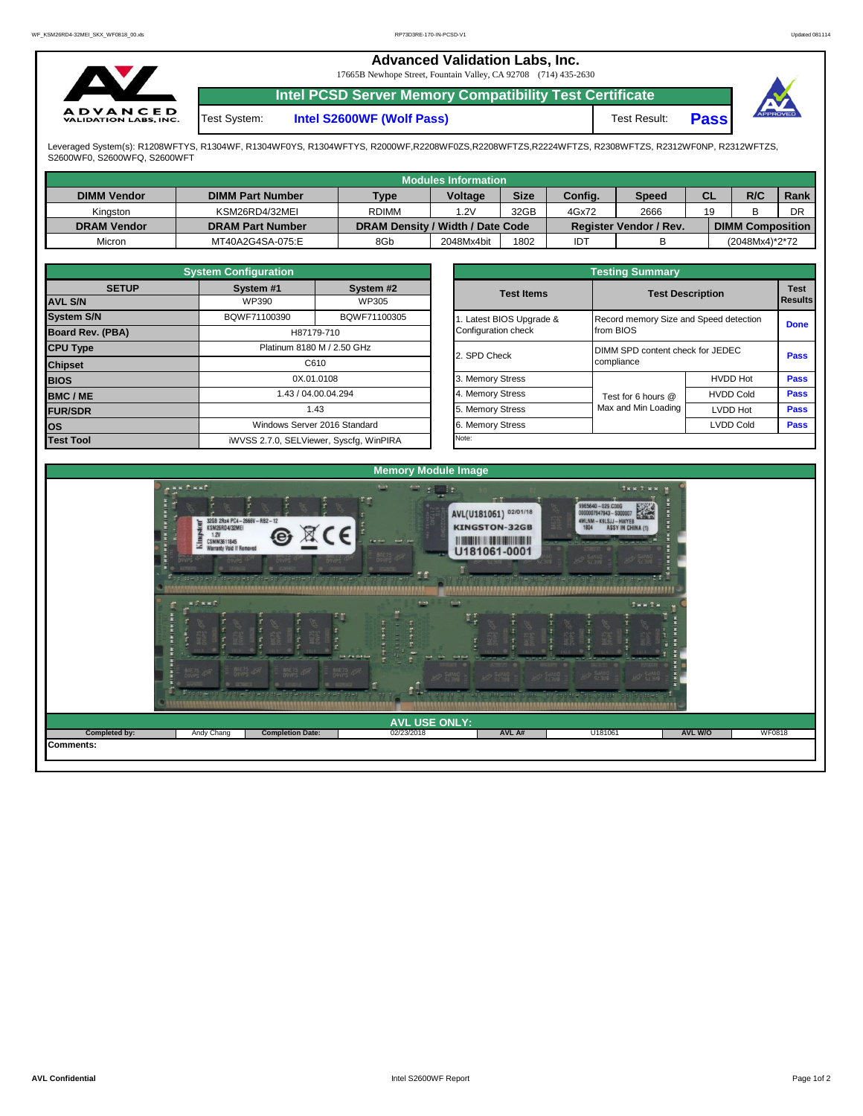|                                                 |              | <b>Advanced Validation Labs, Inc.</b><br>17665B Newhope Street, Fountain Valley, CA 92708 (714) 435-2630 |              |             |  |
|-------------------------------------------------|--------------|----------------------------------------------------------------------------------------------------------|--------------|-------------|--|
|                                                 |              | <b>Intel PCSD Server Memory Compatibility Test Certificate</b>                                           |              |             |  |
| <b>ADVANCED</b><br><b>VALIDATION LABS, INC.</b> | Test System: | Intel S2600WF (Wolf Pass)                                                                                | Test Result: | <b>Pass</b> |  |



Leveraged System(s): R1208WFTYS, R1304WF, R1304WF0YS, R1304WFTYS, R2000WF,R2208WF0ZS,R2208WFTZS,R2224WFTZS, R2308WFTZS, R2312WF0NP, R2312WFTZS,<br>S2600WF0, S2600WFQ, S2600WFT

|                    |                         |                                  | Modules Information |             |         |                        |           |                         |      |
|--------------------|-------------------------|----------------------------------|---------------------|-------------|---------|------------------------|-----------|-------------------------|------|
| <b>DIMM Vendor</b> | <b>DIMM Part Number</b> | <b>Type</b>                      | <b>Voltage</b>      | <b>Size</b> | Config. | <b>Speed</b>           | <b>CL</b> | R/C                     | Rank |
| Kinaston           | KSM26RD4/32MEI          | <b>RDIMM</b>                     | 1.2V                | 32GB        | 4Gx72   | 2666                   | 19        |                         | DR   |
| <b>DRAM Vendor</b> | <b>DRAM Part Number</b> | DRAM Density / Width / Date Code |                     |             |         | Register Vendor / Rev. |           | <b>DIMM Composition</b> |      |
| Micron             | MT40A2G4SA-075:E        | 8Gb                              | 2048Mx4bit          | 1802        | IDT     |                        |           | (2048Mx4)*2*72          |      |

|                   | <b>System Configuration</b> |                                         |                       | <b>Testing Summary</b>                 |                         |             |  |
|-------------------|-----------------------------|-----------------------------------------|-----------------------|----------------------------------------|-------------------------|-------------|--|
| <b>SETUP</b>      | System #1                   | System #2                               | <b>Test Items</b>     |                                        | <b>Test Description</b> | <b>Test</b> |  |
| <b>AVL S/N</b>    | WP390                       | WP305                                   |                       |                                        |                         | Results     |  |
| <b>System S/N</b> | BQWF71100390                | BQWF71100305                            | Latest BIOS Upgrade & | Record memory Size and Speed detection |                         | <b>Done</b> |  |
| Board Rev. (PBA)  |                             | H87179-710                              | Configuration check   | from BIOS                              |                         |             |  |
| <b>CPU Type</b>   |                             | Platinum 8180 M / 2.50 GHz              | 2. SPD Check          | DIMM SPD content check for JEDEC       |                         | Pass        |  |
| <b>Chipset</b>    |                             | C610                                    |                       | compliance                             |                         |             |  |
| <b>BIOS</b>       |                             | 0X.01.0108                              | 3. Memory Stress      |                                        | <b>HVDD Hot</b>         | <b>Pass</b> |  |
| <b>BMC/ME</b>     |                             | 1.43 / 04.00.04.294                     | 4. Memory Stress      | Test for 6 hours @                     | <b>HVDD Cold</b>        | Pass        |  |
| <b>FUR/SDR</b>    |                             | 1.43                                    | 5. Memory Stress      | Max and Min Loading                    | <b>LVDD Hot</b>         | <b>Pass</b> |  |
| los               |                             | Windows Server 2016 Standard            | 6. Memory Stress      |                                        | <b>LVDD Cold</b>        | Pass        |  |
| <b>Test Tool</b>  |                             | iWVSS 2.7.0, SELViewer, Syscfq, WinPIRA | Note:                 |                                        |                         |             |  |

|              | <b>System Configuration</b> |                                    |                       | <b>Testing Summary</b>           |                                                                                                                   |                |  |  |  |
|--------------|-----------------------------|------------------------------------|-----------------------|----------------------------------|-------------------------------------------------------------------------------------------------------------------|----------------|--|--|--|
| <b>SETUP</b> | System #1                   | System #2                          | <b>Test Items</b>     |                                  |                                                                                                                   | <b>Test</b>    |  |  |  |
|              | WP390                       | WP305                              |                       |                                  |                                                                                                                   | <b>Results</b> |  |  |  |
|              | BQWF71100390                | BQWF71100305                       | Latest BIOS Upgrade & |                                  |                                                                                                                   | <b>Done</b>    |  |  |  |
| PBA)         |                             | H87179-710                         | Configuration check   | from BIOS                        |                                                                                                                   |                |  |  |  |
|              |                             | Platinum 8180 M / 2.50 GHz         |                       | DIMM SPD content check for JEDEC |                                                                                                                   |                |  |  |  |
|              |                             | C610                               | 2. SPD Check          | compliance                       |                                                                                                                   |                |  |  |  |
|              |                             | 0X.01.0108                         | 3. Memory Stress      |                                  | <b>HVDD Hot</b>                                                                                                   | Pass           |  |  |  |
|              |                             | 1.43 / 04.00.04.294                | 4. Memory Stress      | Test for 6 hours @               | <b>HVDD Cold</b>                                                                                                  | Pass           |  |  |  |
|              |                             | 1.43                               | 5. Memory Stress      | Max and Min Loading              | <b>Test Description</b><br>Record memory Size and Speed detection<br>Pass<br>Pass<br>LVDD Hot<br><b>LVDD Cold</b> |                |  |  |  |
|              |                             | Windows Server 2016 Standard       | 6. Memory Stress      |                                  |                                                                                                                   | <b>Pass</b>    |  |  |  |
|              |                             | iMVSS 270 SELViewer Svecta WinPIRA | Note:                 |                                  |                                                                                                                   |                |  |  |  |